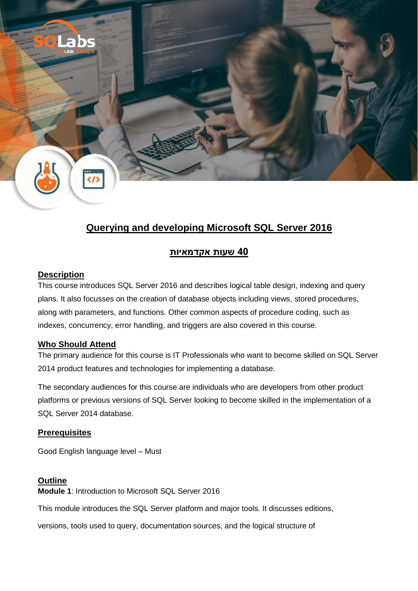

# **Querying and developing Microsoft SQL Server 2016**

# **40 שעות אקדמאיות**

## **Description**

This course introduces SQL Server 2016 and describes logical table design, indexing and query plans. It also focusses on the creation of database objects including views, stored procedures, along with parameters, and functions. Other common aspects of procedure coding, such as indexes, concurrency, error handling, and triggers are also covered in this course.

# **[Who Should Attend](https://www.naya-college.co.il/courses/developing-microsoft-sql-server-databases/#collapse1)**

The primary audience for this course is IT Professionals who want to become skilled on SQL Server 2014 product features and technologies for implementing a database.

The secondary audiences for this course are individuals who are developers from other product platforms or previous versions of SQL Server looking to become skilled in the implementation of a SQL Server 2014 database.

# **Prerequisites**

Good English language level – Must

# **Outline**

**Module 1**: Introduction to Microsoft SQL Server 2016

This module introduces the SQL Server platform and major tools. It discusses editions,

versions, tools used to query, documentation sources, and the logical structure of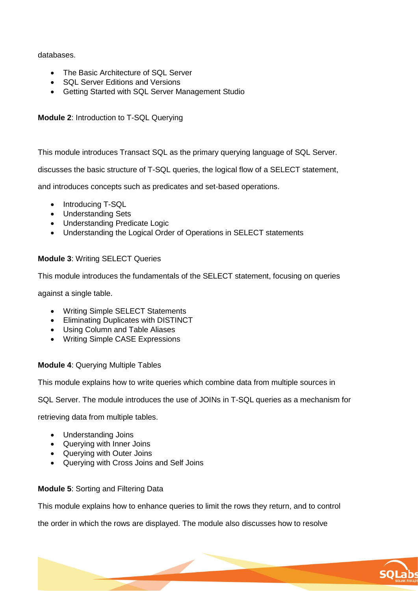#### databases.

- The Basic Architecture of SQL Server
- SQL Server Editions and Versions
- Getting Started with SQL Server Management Studio

## **Module 2**: Introduction to T-SQL Querying

This module introduces Transact SQL as the primary querying language of SQL Server.

discusses the basic structure of T-SQL queries, the logical flow of a SELECT statement,

and introduces concepts such as predicates and set-based operations.

- Introducing T-SQL
- Understanding Sets
- Understanding Predicate Logic
- Understanding the Logical Order of Operations in SELECT statements

## **Module 3**: Writing SELECT Queries

This module introduces the fundamentals of the SELECT statement, focusing on queries

against a single table.

- Writing Simple SELECT Statements
- **•** Eliminating Duplicates with DISTINCT
- Using Column and Table Aliases
- Writing Simple CASE Expressions

#### **Module 4**: Querying Multiple Tables

This module explains how to write queries which combine data from multiple sources in

SQL Server. The module introduces the use of JOINs in T-SQL queries as a mechanism for

retrieving data from multiple tables.

- Understanding Joins
- Querying with Inner Joins
- Querying with Outer Joins
- Querying with Cross Joins and Self Joins

# **Module 5**: Sorting and Filtering Data

This module explains how to enhance queries to limit the rows they return, and to control

the order in which the rows are displayed. The module also discusses how to resolve

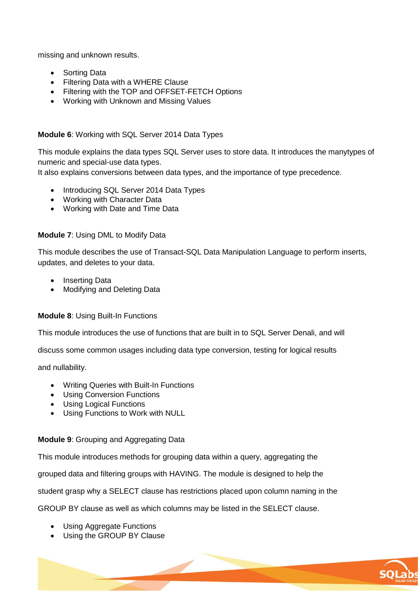missing and unknown results.

- Sorting Data
- Filtering Data with a WHERE Clause
- Filtering with the TOP and OFFSET-FETCH Options
- Working with Unknown and Missing Values

#### **Module 6**: Working with SQL Server 2014 Data Types

This module explains the data types SQL Server uses to store data. It introduces the manytypes of numeric and special-use data types.

It also explains conversions between data types, and the importance of type precedence.

- Introducing SQL Server 2014 Data Types
- Working with Character Data
- Working with Date and Time Data

#### **Module 7**: Using DML to Modify Data

This module describes the use of Transact-SQL Data Manipulation Language to perform inserts, updates, and deletes to your data.

- Inserting Data
- Modifving and Deleting Data

#### **Module 8**: Using Built-In Functions

This module introduces the use of functions that are built in to SQL Server Denali, and will

discuss some common usages including data type conversion, testing for logical results

and nullability.

- Writing Queries with Built-In Functions
- Using Conversion Functions
- Using Logical Functions
- Using Functions to Work with NULL

#### **Module 9**: Grouping and Aggregating Data

This module introduces methods for grouping data within a query, aggregating the

grouped data and filtering groups with HAVING. The module is designed to help the

student grasp why a SELECT clause has restrictions placed upon column naming in the

GROUP BY clause as well as which columns may be listed in the SELECT clause.

- Using Aggregate Functions
- Using the GROUP BY Clause